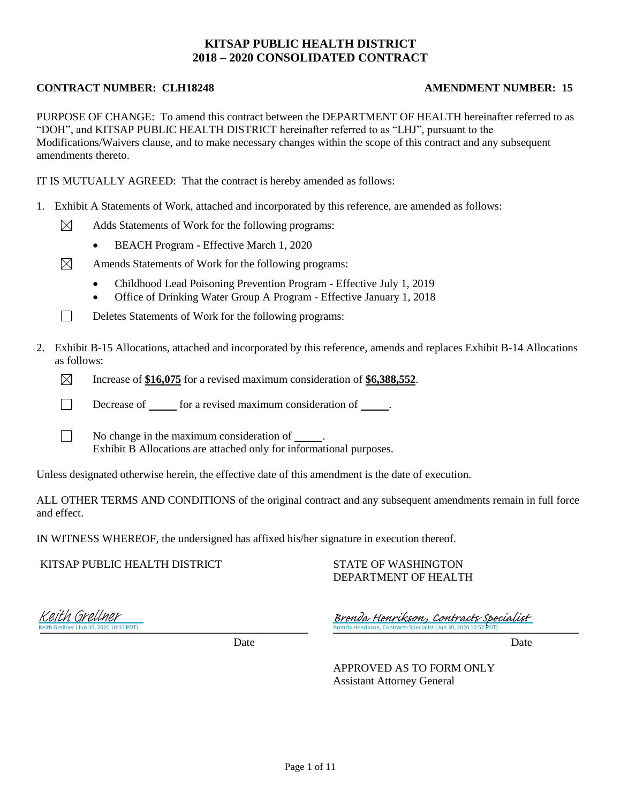## **KITSAP PUBLIC HEALTH DISTRICT 2018 – 2020 CONSOLIDATED CONTRACT**

## **CONTRACT NUMBER: CLH18248 AMENDMENT NUMBER: 15**

⊠

 $\Box$ 

PURPOSE OF CHANGE: To amend this contract between the DEPARTMENT OF HEALTH hereinafter referred to as "DOH", and KITSAP PUBLIC HEALTH DISTRICT hereinafter referred to as "LHJ", pursuant to the Modifications/Waivers clause, and to make necessary changes within the scope of this contract and any subsequent amendments thereto.

IT IS MUTUALLY AGREED: That the contract is hereby amended as follows:

- 1. Exhibit A Statements of Work, attached and incorporated by this reference, are amended as follows:
	- Adds Statements of Work for the following programs:
		- BEACH Program Effective March 1, 2020
	- $\boxtimes$ Amends Statements of Work for the following programs:
		- Childhood Lead Poisoning Prevention Program Effective July 1, 2019
		- Office of Drinking Water Group A Program Effective January 1, 2018
		- Deletes Statements of Work for the following programs:
- 2. Exhibit B-15 Allocations, attached and incorporated by this reference, amends and replaces Exhibit B-14 Allocations as follows:
	- $\boxtimes$ Increase of **\$16,075** for a revised maximum consideration of **\$6,388,552**.
	- П Decrease of for a revised maximum consideration of .
	- $\Box$ No change in the maximum consideration of . Exhibit B Allocations are attached only for informational purposes.

Unless designated otherwise herein, the effective date of this amendment is the date of execution.

ALL OTHER TERMS AND CONDITIONS of the original contract and any subsequent amendments remain in full force and effect.

IN WITNESS WHEREOF, the undersigned has affixed his/her signature in execution thereof.

KITSAP PUBLIC HEALTH DISTRICT

STATE OF WASHINGTON DEPARTMENT OF HEALTH

Keith Grellner (Jun 30, 2020 10:33 PDT) Keith Grellner

Brenda Henrikson, Contracts Specialist (Jun 30, 2020 10:52 PDT) Brenda Henrikson, Contracts Specialist

Date Date Date

APPROVED AS TO FORM ONLY Assistant Attorney General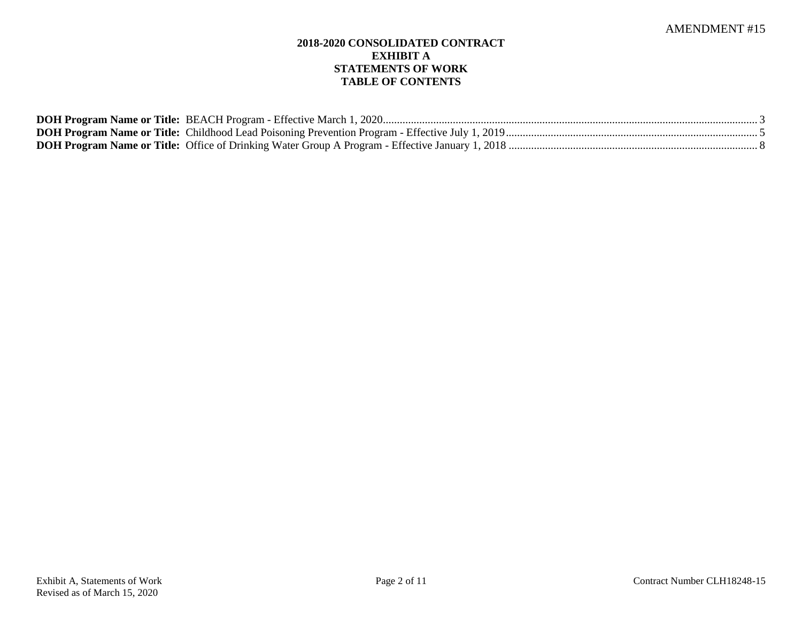## **2018-2020 CONSOLIDATED CONTRACT EXHIBIT A STATEMENTS OF WORK TABLE OF CONTENTS**

| <b>DOH Program Name or Title: BEACH Program - Effective March 1, 2020</b>                              |  |
|--------------------------------------------------------------------------------------------------------|--|
| <b>DOH Program Name or Title:</b> Childhood Lead Poisoning Prevention Program - Effective July 1, 2019 |  |
|                                                                                                        |  |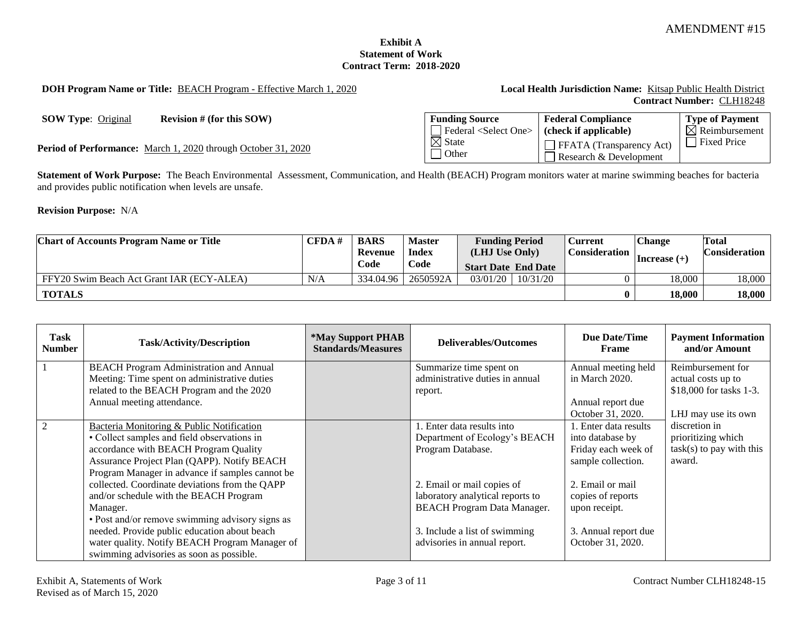## **Exhibit A Statement of Work Contract Term: 2018-2020**

**DOH Program Name or Title:** BEACH Program - Effective March 1, 2020 **Local Health Jurisdiction Name:** Kitsap Public Health District

# **Contract Number:** CLH18248

**SOW Type:** Original **Revision # (for this SOW)** 

Period of Performance: March 1, 2020 through October 31, 2020

| <b>Funding Source</b>            | <b>Federal Compliance</b>                                 | <b>Type of Payment</b>    |
|----------------------------------|-----------------------------------------------------------|---------------------------|
| Federal <select one=""></select> | (check if applicable)                                     | $\boxtimes$ Reimbursement |
| $\boxtimes$ State<br>l Other     | $\Box$ FFATA (Transparency Act)<br>Research & Development | <b>Fixed Price</b>        |

**Statement of Work Purpose:** The Beach Environmental Assessment, Communication, and Health (BEACH) Program monitors water at marine swimming beaches for bacteria and provides public notification when levels are unsafe.

**Revision Purpose:** N/A

| <b>Chart of Accounts Program Name or Title</b> | CFDA# | <b>BARS</b> | <b>Master</b> | <b>Funding Period</b>      |                | <b>Current</b> | <b>Change</b> | <b>Total</b> |  |  |  |  |                      |  |                    |                      |
|------------------------------------------------|-------|-------------|---------------|----------------------------|----------------|----------------|---------------|--------------|--|--|--|--|----------------------|--|--------------------|----------------------|
|                                                |       | Revenue     | <b>Index</b>  |                            | (LHJ Use Only) |                |               |              |  |  |  |  | <b>Consideration</b> |  | $\ln$ crease $(+)$ | <b>Consideration</b> |
|                                                |       | Code        | Code          | <b>Start Date End Date</b> |                |                |               |              |  |  |  |  |                      |  |                    |                      |
| FFY20 Swim Beach Act Grant IAR (ECY-ALEA)      | N/A   | 334,04.96   | 2650592A      | 03/01/20                   | 10/31/20       |                | 18.000        | 18,000       |  |  |  |  |                      |  |                    |                      |
| <b>TOTALS</b>                                  |       |             |               |                            |                | 0              | 18.000        | 18.000       |  |  |  |  |                      |  |                    |                      |

| Task<br><b>Number</b> | <b>Task/Activity/Description</b>                | <i><b>*May Support PHAB</b></i><br><b>Standards/Measures</b> | Deliverables/Outcomes              | Due Date/Time<br>Frame | <b>Payment Information</b><br>and/or Amount |
|-----------------------|-------------------------------------------------|--------------------------------------------------------------|------------------------------------|------------------------|---------------------------------------------|
|                       | <b>BEACH Program Administration and Annual</b>  |                                                              | Summarize time spent on            | Annual meeting held    | Reimbursement for                           |
|                       | Meeting: Time spent on administrative duties    |                                                              | administrative duties in annual    | in March 2020.         | actual costs up to                          |
|                       | related to the BEACH Program and the 2020       |                                                              | report.                            |                        | \$18,000 for tasks 1-3.                     |
|                       | Annual meeting attendance.                      |                                                              |                                    | Annual report due      |                                             |
|                       |                                                 |                                                              |                                    | October 31, 2020.      | LHJ may use its own                         |
| 2                     | Bacteria Monitoring & Public Notification       |                                                              | 1. Enter data results into         | 1. Enter data results  | discretion in                               |
|                       | • Collect samples and field observations in     |                                                              | Department of Ecology's BEACH      | into database by       | prioritizing which                          |
|                       | accordance with BEACH Program Quality           |                                                              | Program Database.                  | Friday each week of    | $task(s)$ to pay with this                  |
|                       | Assurance Project Plan (QAPP). Notify BEACH     |                                                              |                                    | sample collection.     | award.                                      |
|                       | Program Manager in advance if samples cannot be |                                                              |                                    |                        |                                             |
|                       | collected. Coordinate deviations from the QAPP  |                                                              | 2. Email or mail copies of         | 2. Email or mail       |                                             |
|                       | and/or schedule with the BEACH Program          |                                                              | laboratory analytical reports to   | copies of reports      |                                             |
|                       | Manager.                                        |                                                              | <b>BEACH Program Data Manager.</b> | upon receipt.          |                                             |
|                       | • Post and/or remove swimming advisory signs as |                                                              |                                    |                        |                                             |
|                       | needed. Provide public education about beach    |                                                              | 3. Include a list of swimming      | 3. Annual report due   |                                             |
|                       | water quality. Notify BEACH Program Manager of  |                                                              | advisories in annual report.       | October 31, 2020.      |                                             |
|                       | swimming advisories as soon as possible.        |                                                              |                                    |                        |                                             |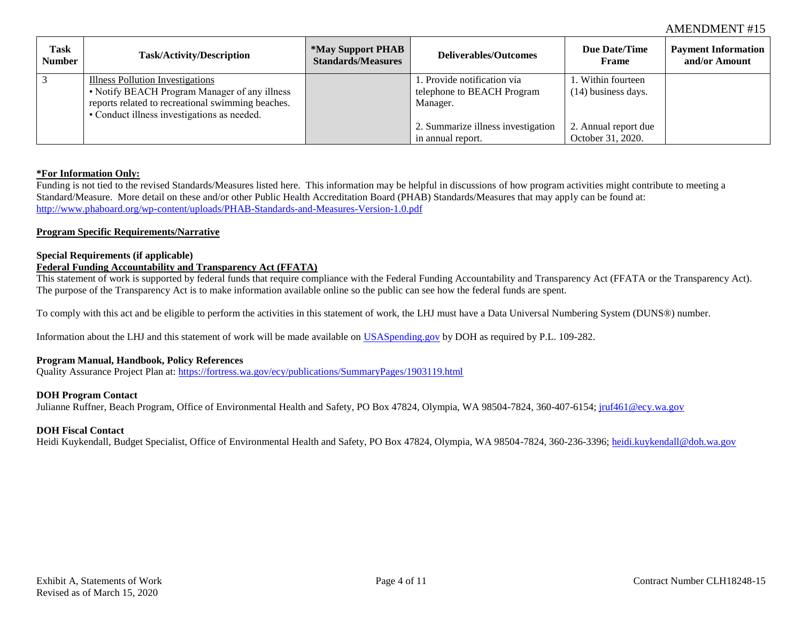| Task<br>Number | <b>Task/Activity/Description</b>                                                                                                                                                      | <i><b>*May Support PHAB</b></i><br><b>Standards/Measures</b> | Deliverables/Outcomes                                                | <b>Due Date/Time</b><br><b>Frame</b>        | <b>Payment Information</b><br>and/or Amount |
|----------------|---------------------------------------------------------------------------------------------------------------------------------------------------------------------------------------|--------------------------------------------------------------|----------------------------------------------------------------------|---------------------------------------------|---------------------------------------------|
|                | Illness Pollution Investigations<br>• Notify BEACH Program Manager of any illness<br>reports related to recreational swimming beaches.<br>• Conduct illness investigations as needed. |                                                              | . Provide notification via<br>telephone to BEACH Program<br>Manager. | 1. Within fourteen<br>$(14)$ business days. |                                             |
|                |                                                                                                                                                                                       |                                                              | 2. Summarize illness investigation<br>in annual report.              | 2. Annual report due<br>October 31, 2020.   |                                             |

## **\*For Information Only:**

Funding is not tied to the revised Standards/Measures listed here. This information may be helpful in discussions of how program activities might contribute to meeting a Standard/Measure. More detail on these and/or other Public Health Accreditation Board (PHAB) Standards/Measures that may apply can be found at: http://www.phaboard.org/wp-content/uploads/PHAB-Standards-and-Measures-Version-1.0.pdf

## **Program Specific Requirements/Narrative**

## **Special Requirements (if applicable)**

## **Federal Funding Accountability and Transparency Act (FFATA)**

This statement of work is supported by federal funds that require compliance with the Federal Funding Accountability and Transparency Act (FFATA or the Transparency Act). The purpose of the Transparency Act is to make information available online so the public can see how the federal funds are spent.

To comply with this act and be eligible to perform the activities in this statement of work, the LHJ must have a Data Universal Numbering System (DUNS®) number.

Information about the LHJ and this statement of work will be made available on USASpending.gov by DOH as required by P.L. 109-282.

## **Program Manual, Handbook, Policy References**

Quality Assurance Project Plan at: https://fortress.wa.gov/ecy/publications/SummaryPages/1903119.html

## **DOH Program Contact**

Julianne Ruffner, Beach Program, Office of Environmental Health and Safety, PO Box 47824, Olympia, WA 98504-7824, 360-407-6154; jruf461@ecy.wa.gov

## **DOH Fiscal Contact**

Heidi Kuykendall, Budget Specialist, Office of Environmental Health and Safety, PO Box 47824, Olympia, WA 98504-7824, 360-236-3396; heidi.kuykendall@doh.wa.gov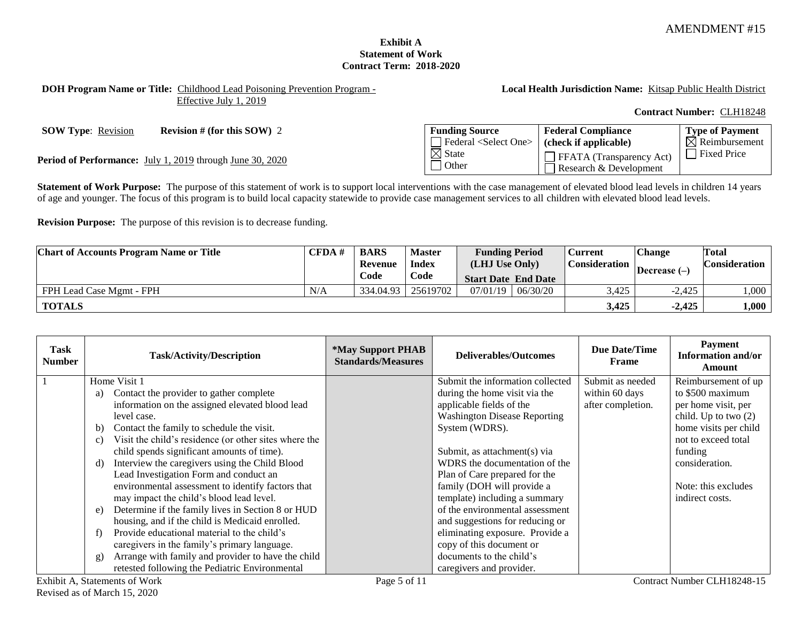## **Exhibit A Statement of Work Contract Term: 2018-2020**

**DOH Program Name or Title:** Childhood Lead Poisoning Prevention Program - Effective July 1, 2019

**Local Health Jurisdiction Name:** Kitsap Public Health District

**Federal Compliance (check if applicable)**

FFATA (Transparency Act) Research & Development

**Contract Number:** CLH18248

**Type of Payment**  $\overline{\mathsf{N}}$  Reimbursement

**SOW Type**: Revision **Revision # (for this SOW) 2 Funding Source** 

**Period of Performance:** July 1, 2019 through June 30, 2020

Statement of Work Purpose: The purpose of this statement of work is to support local interventions with the case management of elevated blood lead levels in children 14 years of age and younger. The focus of this program is to build local capacity statewide to provide case management services to all children with elevated blood lead levels.

Federal <Select One>

 $\overline{\boxtimes}$  State  $\Box$  Other

**Revision Purpose:** The purpose of this revision is to decrease funding.

| <b>Chart of Accounts Program Name or Title</b> | CFDA# | <b>BARS</b> | <b>Master</b>           | <b>Funding Period</b>      |          | Current | <b>Change</b>  | <b>Total</b> |                      |  |                |                      |
|------------------------------------------------|-------|-------------|-------------------------|----------------------------|----------|---------|----------------|--------------|----------------------|--|----------------|----------------------|
|                                                |       |             | <b>Index</b><br>Revenue |                            |          |         | (LHJ Use Only) |              | <b>Consideration</b> |  | Decrease $(-)$ | <b>Consideration</b> |
|                                                |       | Code        | Code                    | <b>Start Date End Date</b> |          |         |                |              |                      |  |                |                      |
| FPH Lead Case Mgmt - FPH                       | N/A   | 334.04.93   | 25619702                | 07/01/19                   | 06/30/20 | 3,425   | $-2.425$       | 000,         |                      |  |                |                      |
| <b>TOTALS</b>                                  |       |             |                         |                            |          | 3,425   | $-2,425$       | 1,000        |                      |  |                |                      |

| Task<br>Number | <b>Task/Activity/Description</b>                                         | <i><b>*May Support PHAB</b></i><br><b>Standards/Measures</b> | <b>Deliverables/Outcomes</b>        | <b>Due Date/Time</b><br>Frame | <b>Payment</b><br><b>Information and/or</b><br>Amount |
|----------------|--------------------------------------------------------------------------|--------------------------------------------------------------|-------------------------------------|-------------------------------|-------------------------------------------------------|
|                | Home Visit 1                                                             |                                                              | Submit the information collected    | Submit as needed              | Reimbursement of up                                   |
|                | Contact the provider to gather complete<br>a)                            |                                                              | during the home visit via the       | within 60 days                | to \$500 maximum                                      |
|                | information on the assigned elevated blood lead                          |                                                              | applicable fields of the            | after completion.             | per home visit, per                                   |
|                | level case.                                                              |                                                              | <b>Washington Disease Reporting</b> |                               | child. Up to two $(2)$                                |
|                | Contact the family to schedule the visit.<br>b)                          |                                                              | System (WDRS).                      |                               | home visits per child                                 |
|                | Visit the child's residence (or other sites where the<br>$\mathcal{C}$ ) |                                                              |                                     |                               | not to exceed total                                   |
|                | child spends significant amounts of time).                               |                                                              | Submit, as attachment(s) via        |                               | funding                                               |
|                | Interview the caregivers using the Child Blood<br>d)                     |                                                              | WDRS the documentation of the       |                               | consideration.                                        |
|                | Lead Investigation Form and conduct an                                   |                                                              | Plan of Care prepared for the       |                               |                                                       |
|                | environmental assessment to identify factors that                        |                                                              | family (DOH will provide a          |                               | Note: this excludes                                   |
|                | may impact the child's blood lead level.                                 |                                                              | template) including a summary       |                               | indirect costs.                                       |
|                | Determine if the family lives in Section 8 or HUD<br>e)                  |                                                              | of the environmental assessment     |                               |                                                       |
|                | housing, and if the child is Medicaid enrolled.                          |                                                              | and suggestions for reducing or     |                               |                                                       |
|                | Provide educational material to the child's<br>f                         |                                                              | eliminating exposure. Provide a     |                               |                                                       |
|                | caregivers in the family's primary language.                             |                                                              | copy of this document or            |                               |                                                       |
|                | Arrange with family and provider to have the child<br>g)                 |                                                              | documents to the child's            |                               |                                                       |
|                | retested following the Pediatric Environmental                           |                                                              | caregivers and provider.            |                               |                                                       |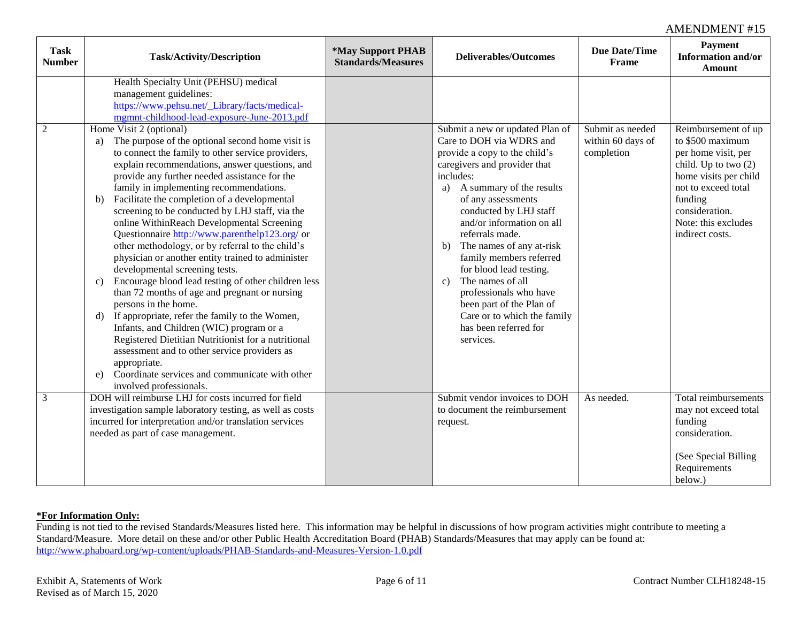| <b>Task</b><br><b>Number</b> | <b>Task/Activity/Description</b>                                                                                                                                                                                                                                                                                                                                                                                                                                                                                                                                                                                                                                                                                                                                                                                                                                                                                                                                                                                                                                                                                                                                                                                                                                | *May Support PHAB<br><b>Standards/Measures</b> | <b>Deliverables/Outcomes</b>                                                                                                                                                                                                                                                                                                                                                                                                                                                                                                       | <b>Due Date/Time</b><br>Frame                       | <b>Payment</b><br><b>Information and/or</b><br><b>Amount</b>                                                                                                                                                    |
|------------------------------|-----------------------------------------------------------------------------------------------------------------------------------------------------------------------------------------------------------------------------------------------------------------------------------------------------------------------------------------------------------------------------------------------------------------------------------------------------------------------------------------------------------------------------------------------------------------------------------------------------------------------------------------------------------------------------------------------------------------------------------------------------------------------------------------------------------------------------------------------------------------------------------------------------------------------------------------------------------------------------------------------------------------------------------------------------------------------------------------------------------------------------------------------------------------------------------------------------------------------------------------------------------------|------------------------------------------------|------------------------------------------------------------------------------------------------------------------------------------------------------------------------------------------------------------------------------------------------------------------------------------------------------------------------------------------------------------------------------------------------------------------------------------------------------------------------------------------------------------------------------------|-----------------------------------------------------|-----------------------------------------------------------------------------------------------------------------------------------------------------------------------------------------------------------------|
| $\sqrt{2}$                   | Health Specialty Unit (PEHSU) medical<br>management guidelines:<br>https://www.pehsu.net/_Library/facts/medical-<br>mgmnt-childhood-lead-exposure-June-2013.pdf<br>Home Visit 2 (optional)<br>The purpose of the optional second home visit is<br>a)<br>to connect the family to other service providers,<br>explain recommendations, answer questions, and<br>provide any further needed assistance for the<br>family in implementing recommendations.<br>Facilitate the completion of a developmental<br>b)<br>screening to be conducted by LHJ staff, via the<br>online WithinReach Developmental Screening<br>Questionnaire http://www.parenthelp123.org/ or<br>other methodology, or by referral to the child's<br>physician or another entity trained to administer<br>developmental screening tests.<br>Encourage blood lead testing of other children less<br>c)<br>than 72 months of age and pregnant or nursing<br>persons in the home.<br>If appropriate, refer the family to the Women,<br>d)<br>Infants, and Children (WIC) program or a<br>Registered Dietitian Nutritionist for a nutritional<br>assessment and to other service providers as<br>appropriate.<br>Coordinate services and communicate with other<br>e)<br>involved professionals. |                                                | Submit a new or updated Plan of<br>Care to DOH via WDRS and<br>provide a copy to the child's<br>caregivers and provider that<br>includes:<br>A summary of the results<br>a)<br>of any assessments<br>conducted by LHJ staff<br>and/or information on all<br>referrals made.<br>The names of any at-risk<br>b)<br>family members referred<br>for blood lead testing.<br>The names of all<br>$\mathbf{c}$<br>professionals who have<br>been part of the Plan of<br>Care or to which the family<br>has been referred for<br>services. | Submit as needed<br>within 60 days of<br>completion | Reimbursement of up<br>to \$500 maximum<br>per home visit, per<br>child. Up to two $(2)$<br>home visits per child<br>not to exceed total<br>funding<br>consideration.<br>Note: this excludes<br>indirect costs. |
| $\mathfrak{Z}$               | DOH will reimburse LHJ for costs incurred for field<br>investigation sample laboratory testing, as well as costs<br>incurred for interpretation and/or translation services<br>needed as part of case management.                                                                                                                                                                                                                                                                                                                                                                                                                                                                                                                                                                                                                                                                                                                                                                                                                                                                                                                                                                                                                                               |                                                | Submit vendor invoices to DOH<br>to document the reimbursement<br>request.                                                                                                                                                                                                                                                                                                                                                                                                                                                         | As needed.                                          | Total reimbursements<br>may not exceed total<br>funding<br>consideration.<br>(See Special Billing<br>Requirements<br>below.)                                                                                    |

## **\*For Information Only:**

Funding is not tied to the revised Standards/Measures listed here. This information may be helpful in discussions of how program activities might contribute to meeting a Standard/Measure. More detail on these and/or other Public Health Accreditation Board (PHAB) Standards/Measures that may apply can be found at: http://www.phaboard.org/wp-content/uploads/PHAB-Standards-and-Measures-Version-1.0.pdf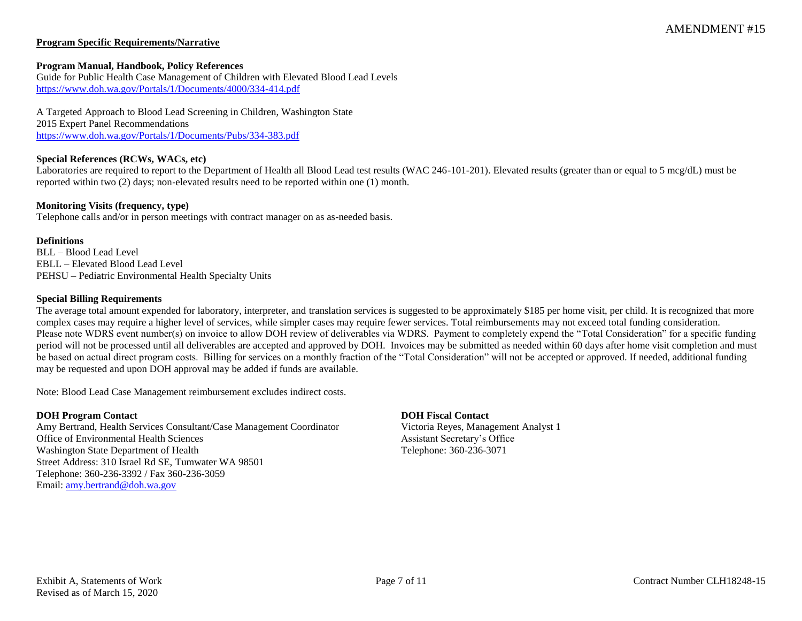## **Program Specific Requirements/Narrative**

### **Program Manual, Handbook, Policy References**

Guide for Public Health Case Management of Children with Elevated Blood Lead Levels https://www.doh.wa.gov/Portals/1/Documents/4000/334-414.pdf

A Targeted Approach to Blood Lead Screening in Children, Washington State 2015 Expert Panel Recommendations https://www.doh.wa.gov/Portals/1/Documents/Pubs/334-383.pdf

## **Special References (RCWs, WACs, etc)**

Laboratories are required to report to the Department of Health all Blood Lead test results (WAC 246-101-201). Elevated results (greater than or equal to 5 mcg/dL) must be reported within two (2) days; non-elevated results need to be reported within one (1) month.

### **Monitoring Visits (frequency, type)**

Telephone calls and/or in person meetings with contract manager on as as-needed basis.

#### **Definitions**

BLL – Blood Lead Level EBLL – Elevated Blood Lead Level PEHSU – Pediatric Environmental Health Specialty Units

## **Special Billing Requirements**

The average total amount expended for laboratory, interpreter, and translation services is suggested to be approximately \$185 per home visit, per child. It is recognized that more complex cases may require a higher level of services, while simpler cases may require fewer services. Total reimbursements may not exceed total funding consideration. Please note WDRS event number(s) on invoice to allow DOH review of deliverables via WDRS. Payment to completely expend the "Total Consideration" for a specific funding period will not be processed until all deliverables are accepted and approved by DOH. Invoices may be submitted as needed within 60 days after home visit completion and must be based on actual direct program costs. Billing for services on a monthly fraction of the "Total Consideration" will not be accepted or approved. If needed, additional funding may be requested and upon DOH approval may be added if funds are available.

Note: Blood Lead Case Management reimbursement excludes indirect costs.

## **DOH Program Contact DOH Fiscal Contact**

Amy Bertrand, Health Services Consultant/Case Management Coordinator Victoria Reyes, Management Analyst 1 Office of Environmental Health Sciences and Assistant Secretary's Office Washington State Department of Health Telephone: 360-236-3071 Street Address: 310 Israel Rd SE, Tumwater WA 98501 Telephone: 360-236-3392 / Fax 360-236-3059 Email: amy.bertrand@doh.wa.gov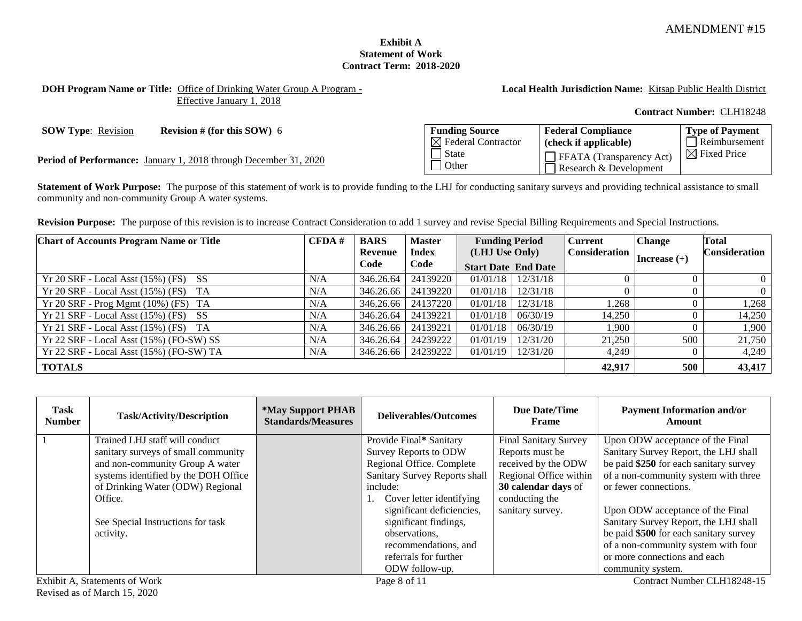## **Exhibit A Statement of Work Contract Term: 2018-2020**

## **DOH Program Name or Title:** Office of Drinking Water Group A Program - Effective January 1, 2018

## **Local Health Jurisdiction Name:** Kitsap Public Health District

### **Contract Number:** CLH18248

**SOW Type:** Revision **Revision # (for this SOW)** 6

Period of Performance: January 1, 2018 through December 31, 2020

| <b>Funding Source</b>          | <b>Federal Compliance</b>                                 | <b>Type of Payment</b>  |
|--------------------------------|-----------------------------------------------------------|-------------------------|
| $\boxtimes$ Federal Contractor | (check if applicable)                                     | Reimbursement           |
| l State<br>Other               | $\Box$ FFATA (Transparency Act)<br>Research & Development | $\boxtimes$ Fixed Price |

Statement of Work Purpose: The purpose of this statement of work is to provide funding to the LHJ for conducting sanitary surveys and providing technical assistance to small community and non-community Group A water systems.

**Revision Purpose:** The purpose of this revision is to increase Contract Consideration to add 1 survey and revise Special Billing Requirements and Special Instructions.

| <b>Chart of Accounts Program Name or Title</b> | CFDA# | <b>BARS</b> | <b>Master</b> | <b>Funding Period</b>      |                         | <b>Current</b> | <b>Change</b>  | Total                |
|------------------------------------------------|-------|-------------|---------------|----------------------------|-------------------------|----------------|----------------|----------------------|
|                                                |       | Revenue     | <b>Index</b>  | (LHJ Use Only)             |                         | Consideration  | Increase $(+)$ | <b>Consideration</b> |
|                                                |       | Code        | Code          | <b>Start Date End Date</b> |                         |                |                |                      |
| $Yr 20$ SRF - Local Asst $(15\%)$ (FS) SS      | N/A   | 346.26.64   | 24139220      |                            | $01/01/18$   $12/31/18$ |                |                | $\Omega$             |
| $Yr 20$ SRF - Local Asst (15%) (FS) TA         | N/A   | 346.26.66   | 24139220      | 01/01/18                   | 12/31/18                |                |                | $\Omega$             |
| $Yr 20$ SRF - Prog Mgmt (10%) (FS) TA          | N/A   | 346.26.66   | 24137220      | 01/01/18                   | 12/31/18                | 1,268          |                | 1,268                |
| $Yr 21$ SRF - Local Asst (15%) (FS) SS         | N/A   | 346.26.64   | 24139221      | 01/01/18                   | 06/30/19                | 14,250         |                | 14,250               |
| $Yr 21$ SRF - Local Asst (15%) (FS) TA         | N/A   | 346.26.66   | 24139221      | 01/01/18                   | 06/30/19                | 1.900          |                | 1,900                |
| Yr 22 SRF - Local Asst (15%) (FO-SW) SS        | N/A   | 346.26.64   | 24239222      | 01/01/19                   | 12/31/20                | 21,250         | 500            | 21,750               |
| Yr 22 SRF - Local Asst (15%) (FO-SW) TA        | N/A   | 346.26.66   | 24239222      | 01/01/19                   | 12/31/20                | 4,249          |                | 4,249                |
| <b>TOTALS</b>                                  |       |             |               |                            |                         | 42,917         | 500            | 43,417               |

| <b>Task</b><br><b>Number</b> | <b>Task/Activity/Description</b>     | <i><b>*May Support PHAB</b></i><br><b>Standards/Measures</b> | Deliverables/Outcomes         | Due Date/Time<br><b>Frame</b> | <b>Payment Information and/or</b><br>Amount |
|------------------------------|--------------------------------------|--------------------------------------------------------------|-------------------------------|-------------------------------|---------------------------------------------|
|                              | Trained LHJ staff will conduct       |                                                              | Provide Final* Sanitary       | <b>Final Sanitary Survey</b>  | Upon ODW acceptance of the Final            |
|                              | sanitary surveys of small community  |                                                              | Survey Reports to ODW         | Reports must be               | Sanitary Survey Report, the LHJ shall       |
|                              | and non-community Group A water      |                                                              | Regional Office. Complete     | received by the ODW           | be paid \$250 for each sanitary survey      |
|                              | systems identified by the DOH Office |                                                              | Sanitary Survey Reports shall | Regional Office within        | of a non-community system with three        |
|                              | of Drinking Water (ODW) Regional     |                                                              | include:                      | 30 calendar days of           | or fewer connections.                       |
|                              | Office.                              |                                                              | 1. Cover letter identifying   | conducting the                |                                             |
|                              |                                      |                                                              | significant deficiencies,     | sanitary survey.              | Upon ODW acceptance of the Final            |
|                              | See Special Instructions for task    |                                                              | significant findings,         |                               | Sanitary Survey Report, the LHJ shall       |
|                              | activity.                            |                                                              | observations,                 |                               | be paid \$500 for each sanitary survey      |
|                              |                                      |                                                              | recommendations, and          |                               | of a non-community system with four         |
|                              |                                      |                                                              | referrals for further         |                               | or more connections and each                |
|                              |                                      |                                                              | ODW follow-up.                |                               | community system.                           |
|                              | Exhibit A, Statements of Work        |                                                              | Page 8 of 11                  |                               | Contract Number CLH18248-15                 |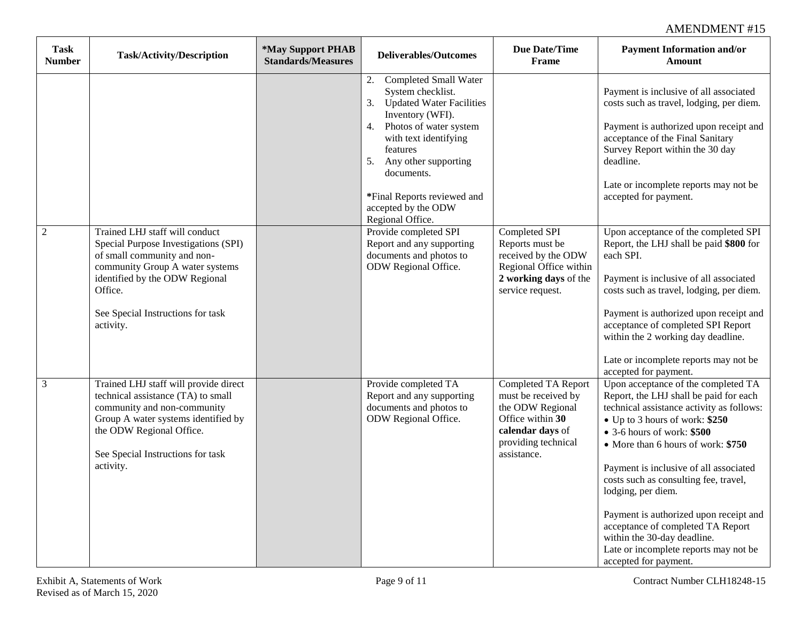| <b>Task</b><br><b>Number</b> | <b>Task/Activity/Description</b>                                                                                                                                                                                                        | *May Support PHAB<br><b>Standards/Measures</b> | <b>Deliverables/Outcomes</b>                                                                                                                                                                                                                                                                                 | <b>Due Date/Time</b><br>Frame                                                                                                                | <b>Payment Information and/or</b><br><b>Amount</b>                                                                                                                                                                                                                                                                                                                                                                                                                                                                                |
|------------------------------|-----------------------------------------------------------------------------------------------------------------------------------------------------------------------------------------------------------------------------------------|------------------------------------------------|--------------------------------------------------------------------------------------------------------------------------------------------------------------------------------------------------------------------------------------------------------------------------------------------------------------|----------------------------------------------------------------------------------------------------------------------------------------------|-----------------------------------------------------------------------------------------------------------------------------------------------------------------------------------------------------------------------------------------------------------------------------------------------------------------------------------------------------------------------------------------------------------------------------------------------------------------------------------------------------------------------------------|
|                              |                                                                                                                                                                                                                                         |                                                | <b>Completed Small Water</b><br>2.<br>System checklist.<br><b>Updated Water Facilities</b><br>3.<br>Inventory (WFI).<br>4. Photos of water system<br>with text identifying<br>features<br>Any other supporting<br>5.<br>documents.<br>*Final Reports reviewed and<br>accepted by the ODW<br>Regional Office. |                                                                                                                                              | Payment is inclusive of all associated<br>costs such as travel, lodging, per diem.<br>Payment is authorized upon receipt and<br>acceptance of the Final Sanitary<br>Survey Report within the 30 day<br>deadline.<br>Late or incomplete reports may not be<br>accepted for payment.                                                                                                                                                                                                                                                |
| $\overline{2}$               | Trained LHJ staff will conduct<br>Special Purpose Investigations (SPI)<br>of small community and non-<br>community Group A water systems<br>identified by the ODW Regional<br>Office.<br>See Special Instructions for task<br>activity. |                                                | Provide completed SPI<br>Report and any supporting<br>documents and photos to<br>ODW Regional Office.                                                                                                                                                                                                        | Completed SPI<br>Reports must be<br>received by the ODW<br>Regional Office within<br>2 working days of the<br>service request.               | Upon acceptance of the completed SPI<br>Report, the LHJ shall be paid \$800 for<br>each SPI.<br>Payment is inclusive of all associated<br>costs such as travel, lodging, per diem.<br>Payment is authorized upon receipt and<br>acceptance of completed SPI Report<br>within the 2 working day deadline.<br>Late or incomplete reports may not be<br>accepted for payment.                                                                                                                                                        |
| 3                            | Trained LHJ staff will provide direct<br>technical assistance (TA) to small<br>community and non-community<br>Group A water systems identified by<br>the ODW Regional Office.<br>See Special Instructions for task<br>activity.         |                                                | Provide completed TA<br>Report and any supporting<br>documents and photos to<br>ODW Regional Office.                                                                                                                                                                                                         | Completed TA Report<br>must be received by<br>the ODW Regional<br>Office within 30<br>calendar days of<br>providing technical<br>assistance. | Upon acceptance of the completed TA<br>Report, the LHJ shall be paid for each<br>technical assistance activity as follows:<br>• Up to 3 hours of work: \$250<br>$\bullet$ 3-6 hours of work: \$500<br>• More than 6 hours of work: \$750<br>Payment is inclusive of all associated<br>costs such as consulting fee, travel,<br>lodging, per diem.<br>Payment is authorized upon receipt and<br>acceptance of completed TA Report<br>within the 30-day deadline.<br>Late or incomplete reports may not be<br>accepted for payment. |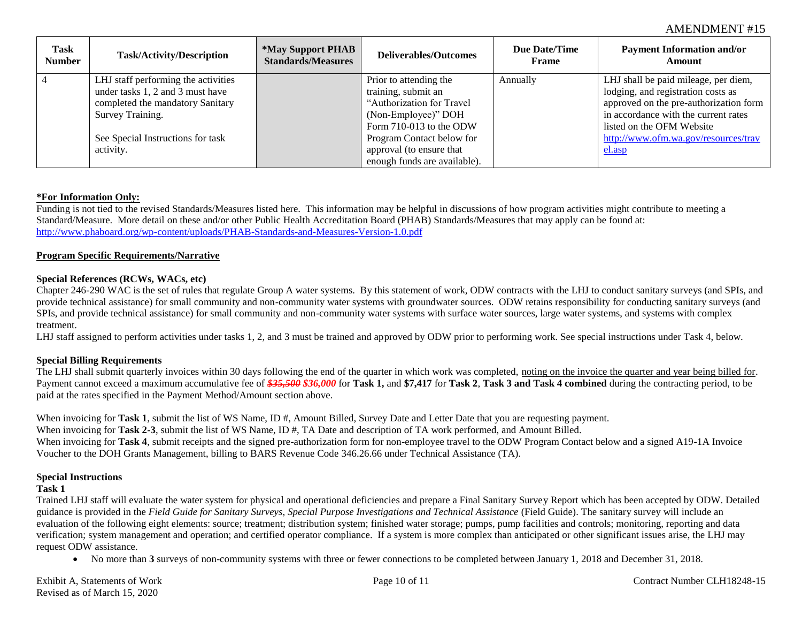| <b>Task</b><br><b>Number</b> | <b>Task/Activity/Description</b>    | <i><b>*May Support PHAB</b></i><br><b>Standards/Measures</b> | <b>Deliverables/Outcomes</b> | Due Date/Time<br><b>Frame</b> | <b>Payment Information and/or</b><br>Amount |
|------------------------------|-------------------------------------|--------------------------------------------------------------|------------------------------|-------------------------------|---------------------------------------------|
| $\overline{4}$               | LHJ staff performing the activities |                                                              | Prior to attending the       | Annually                      | LHJ shall be paid mileage, per diem,        |
|                              | under tasks 1, 2 and 3 must have    |                                                              | training, submit an          |                               | lodging, and registration costs as          |
|                              | completed the mandatory Sanitary    |                                                              | "Authorization for Travel    |                               | approved on the pre-authorization form      |
|                              | Survey Training.                    |                                                              | (Non-Employee)" DOH          |                               | in accordance with the current rates        |
|                              |                                     |                                                              | Form 710-013 to the ODW      |                               | listed on the OFM Website                   |
|                              | See Special Instructions for task   |                                                              | Program Contact below for    |                               | http://www.ofm.wa.gov/resources/trav        |
|                              | activity.                           |                                                              | approval (to ensure that     |                               | el.asp                                      |
|                              |                                     |                                                              | enough funds are available). |                               |                                             |

### **\*For Information Only:**

Funding is not tied to the revised Standards/Measures listed here. This information may be helpful in discussions of how program activities might contribute to meeting a Standard/Measure. More detail on these and/or other Public Health Accreditation Board (PHAB) Standards/Measures that may apply can be found at: http://www.phaboard.org/wp-content/uploads/PHAB-Standards-and-Measures-Version-1.0.pdf

#### **Program Specific Requirements/Narrative**

### **Special References (RCWs, WACs, etc)**

Chapter 246-290 WAC is the set of rules that regulate Group A water systems. By this statement of work, ODW contracts with the LHJ to conduct sanitary surveys (and SPIs, and provide technical assistance) for small community and non-community water systems with groundwater sources. ODW retains responsibility for conducting sanitary surveys (and SPIs, and provide technical assistance) for small community and non-community water systems with surface water sources, large water systems, and systems with complex treatment.

LHJ staff assigned to perform activities under tasks 1, 2, and 3 must be trained and approved by ODW prior to performing work. See special instructions under Task 4, below.

#### **Special Billing Requirements**

The LHJ shall submit quarterly invoices within 30 days following the end of the quarter in which work was completed, noting on the invoice the quarter and year being billed for. Payment cannot exceed a maximum accumulative fee of *\$35,500 \$36,000* for **Task 1,** and **\$7,417** for **Task 2**, **Task 3 and Task 4 combined** during the contracting period, to be paid at the rates specified in the Payment Method/Amount section above.

When invoicing for **Task 1**, submit the list of WS Name, ID #, Amount Billed, Survey Date and Letter Date that you are requesting payment. When invoicing for **Task 2-3**, submit the list of WS Name, ID #, TA Date and description of TA work performed, and Amount Billed. When invoicing for **Task 4**, submit receipts and the signed pre-authorization form for non-employee travel to the ODW Program Contact below and a signed A19-1A Invoice Voucher to the DOH Grants Management, billing to BARS Revenue Code 346.26.66 under Technical Assistance (TA).

#### **Special Instructions**

## **Task 1**

Trained LHJ staff will evaluate the water system for physical and operational deficiencies and prepare a Final Sanitary Survey Report which has been accepted by ODW. Detailed guidance is provided in the *Field Guide for Sanitary Surveys, Special Purpose Investigations and Technical Assistance* (Field Guide). The sanitary survey will include an evaluation of the following eight elements: source; treatment; distribution system; finished water storage; pumps, pump facilities and controls; monitoring, reporting and data verification; system management and operation; and certified operator compliance. If a system is more complex than anticipated or other significant issues arise, the LHJ may request ODW assistance.

No more than **3** surveys of non-community systems with three or fewer connections to be completed between January 1, 2018 and December 31, 2018.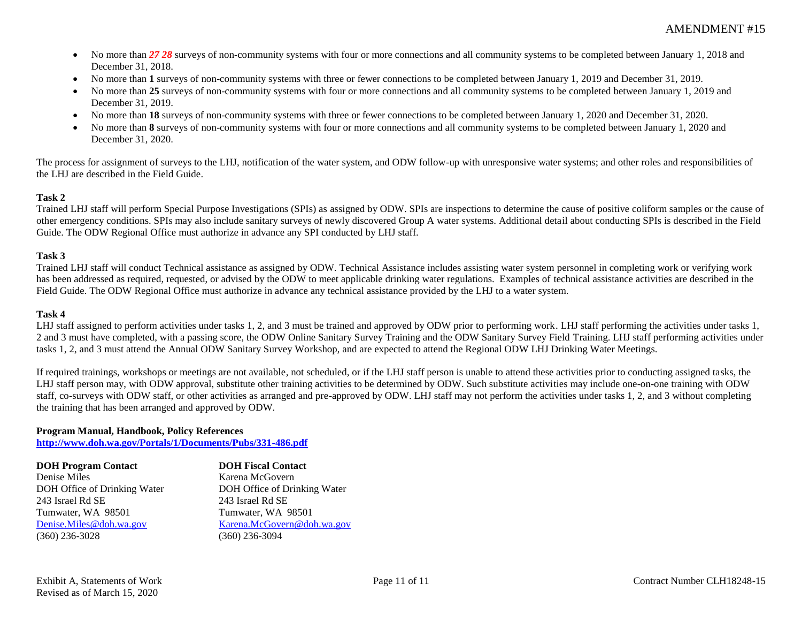- No more than **27 28** surveys of non-community systems with four or more connections and all community systems to be completed between January 1, 2018 and December 31, 2018.
- No more than **1** surveys of non-community systems with three or fewer connections to be completed between January 1, 2019 and December 31, 2019.
- No more than **25** surveys of non-community systems with four or more connections and all community systems to be completed between January 1, 2019 and December 31, 2019.
- No more than **18** surveys of non-community systems with three or fewer connections to be completed between January 1, 2020 and December 31, 2020.
- No more than **8** surveys of non-community systems with four or more connections and all community systems to be completed between January 1, 2020 and December 31, 2020.

The process for assignment of surveys to the LHJ, notification of the water system, and ODW follow-up with unresponsive water systems; and other roles and responsibilities of the LHJ are described in the Field Guide.

## **Task 2**

Trained LHJ staff will perform Special Purpose Investigations (SPIs) as assigned by ODW. SPIs are inspections to determine the cause of positive coliform samples or the cause of other emergency conditions. SPIs may also include sanitary surveys of newly discovered Group A water systems. Additional detail about conducting SPIs is described in the Field Guide. The ODW Regional Office must authorize in advance any SPI conducted by LHJ staff.

## **Task 3**

Trained LHJ staff will conduct Technical assistance as assigned by ODW. Technical Assistance includes assisting water system personnel in completing work or verifying work has been addressed as required, requested, or advised by the ODW to meet applicable drinking water regulations. Examples of technical assistance activities are described in the Field Guide. The ODW Regional Office must authorize in advance any technical assistance provided by the LHJ to a water system.

## **Task 4**

LHJ staff assigned to perform activities under tasks 1, 2, and 3 must be trained and approved by ODW prior to performing work. LHJ staff performing the activities under tasks 1, 2 and 3 must have completed, with a passing score, the ODW Online Sanitary Survey Training and the ODW Sanitary Survey Field Training. LHJ staff performing activities under tasks 1, 2, and 3 must attend the Annual ODW Sanitary Survey Workshop, and are expected to attend the Regional ODW LHJ Drinking Water Meetings.

If required trainings, workshops or meetings are not available, not scheduled, or if the LHJ staff person is unable to attend these activities prior to conducting assigned tasks, the LHJ staff person may, with ODW approval, substitute other training activities to be determined by ODW. Such substitute activities may include one-on-one training with ODW staff, co-surveys with ODW staff, or other activities as arranged and pre-approved by ODW. LHJ staff may not perform the activities under tasks 1, 2, and 3 without completing the training that has been arranged and approved by ODW.

## **Program Manual, Handbook, Policy References**

**http://www.doh.wa.gov/Portals/1/Documents/Pubs/331-486.pdf**

| <b>DOH Program Contact</b>   | <b>DOH Fiscal Contact</b>    |
|------------------------------|------------------------------|
| Denise Miles                 | Karena McGovern              |
| DOH Office of Drinking Water | DOH Office of Drinking Water |
| 243 Israel Rd SE             | 243 Israel Rd SE             |
| Tumwater, WA 98501           | Tumwater, WA 98501           |
| Denise.Miles@doh.wa.gov      | Karena.McGovern@doh.wa.gov   |
| $(360)$ 236-3028             | $(360)$ 236-3094             |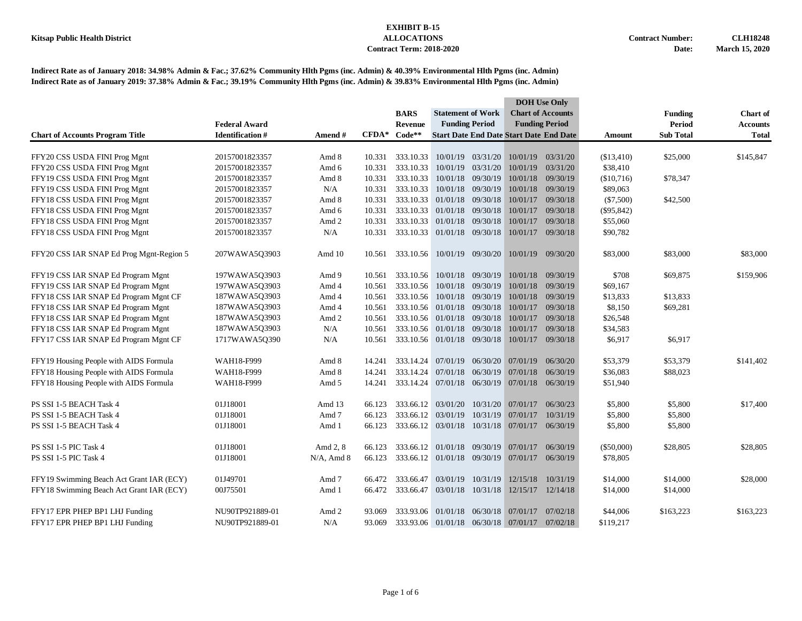|                                          |                        |                |         |                                               |                          |                   | <b>DOH</b> Use Only                            |                          |              |                  |                 |
|------------------------------------------|------------------------|----------------|---------|-----------------------------------------------|--------------------------|-------------------|------------------------------------------------|--------------------------|--------------|------------------|-----------------|
|                                          |                        |                |         | <b>BARS</b>                                   | <b>Statement of Work</b> |                   |                                                | <b>Chart of Accounts</b> |              | <b>Funding</b>   | <b>Chart of</b> |
|                                          | <b>Federal Award</b>   |                |         | <b>Revenue</b>                                | <b>Funding Period</b>    |                   |                                                | <b>Funding Period</b>    |              | <b>Period</b>    | <b>Accounts</b> |
| <b>Chart of Accounts Program Title</b>   | <b>Identification#</b> | <b>Amend</b> # | $CFDA*$ | $Code**$                                      |                          |                   | <b>Start Date End Date Start Date End Date</b> |                          | Amount       | <b>Sub Total</b> | <b>Total</b>    |
|                                          |                        |                |         |                                               |                          |                   |                                                |                          |              |                  |                 |
| FFY20 CSS USDA FINI Prog Mgnt            | 20157001823357         | Amd 8          | 10.331  | 333.10.33                                     |                          | 10/01/19 03/31/20 | 10/01/19                                       | 03/31/20                 | (\$13,410)   | \$25,000         | \$145,847       |
| FFY20 CSS USDA FINI Prog Mgnt            | 20157001823357         | Amd 6          | 10.331  | 333.10.33                                     | 10/01/19 03/31/20        |                   | 10/01/19                                       | 03/31/20                 | \$38,410     |                  |                 |
| FFY19 CSS USDA FINI Prog Mgnt            | 20157001823357         | Amd 8          | 10.331  | 333.10.33                                     | 10/01/18 09/30/19        |                   |                                                | 10/01/18 09/30/19        | (\$10,716)   | \$78,347         |                 |
| FFY19 CSS USDA FINI Prog Mgnt            | 20157001823357         | N/A            | 10.331  | 333.10.33                                     | 10/01/18 09/30/19        |                   | 10/01/18                                       | 09/30/19                 | \$89,063     |                  |                 |
| FFY18 CSS USDA FINI Prog Mgnt            | 20157001823357         | Amd 8          | 10.331  | 333.10.33                                     | 01/01/18 09/30/18        |                   | 10/01/17                                       | 09/30/18                 | $(\$7,500)$  | \$42,500         |                 |
| FFY18 CSS USDA FINI Prog Mgnt            | 20157001823357         | Amd 6          | 10.331  | 333.10.33 01/01/18 09/30/18                   |                          |                   | 10/01/17                                       | 09/30/18                 | $(\$95,842)$ |                  |                 |
| FFY18 CSS USDA FINI Prog Mgnt            | 20157001823357         | Amd 2          | 10.331  | 333.10.33                                     | 01/01/18 09/30/18        |                   | 10/01/17                                       | 09/30/18                 | \$55,060     |                  |                 |
| FFY18 CSS USDA FINI Prog Mgnt            | 20157001823357         | N/A            | 10.331  | 333.10.33 01/01/18 09/30/18                   |                          |                   | 10/01/17 09/30/18                              |                          | \$90,782     |                  |                 |
| FFY20 CSS IAR SNAP Ed Prog Mgnt-Region 5 | 207WAWA5Q3903          | Amd 10         | 10.561  | 333.10.56 10/01/19 09/30/20                   |                          |                   |                                                | 10/01/19 09/30/20        | \$83,000     | \$83,000         | \$83,000        |
| FFY19 CSS IAR SNAP Ed Program Mgnt       | 197WAWA503903          | Amd 9          | 10.561  | 333.10.56                                     | 10/01/18 09/30/19        |                   | 10/01/18                                       | 09/30/19                 | \$708        | \$69,875         | \$159,906       |
| FFY19 CSS IAR SNAP Ed Program Mgnt       | 197WAWA503903          | Amd 4          | 10.561  | 333.10.56                                     | 10/01/18 09/30/19        |                   | 10/01/18                                       | 09/30/19                 | \$69,167     |                  |                 |
| FFY18 CSS IAR SNAP Ed Program Mgnt CF    | 187WAWA5Q3903          | Amd 4          | 10.561  | 333.10.56                                     | 10/01/18 09/30/19        |                   |                                                | 10/01/18 09/30/19        | \$13,833     | \$13,833         |                 |
| FFY18 CSS IAR SNAP Ed Program Mgnt       | 187WAWA5Q3903          | Amd 4          | 10.561  | 333.10.56 01/01/18 09/30/18                   |                          |                   | 10/01/17                                       | 09/30/18                 | \$8,150      | \$69,281         |                 |
| FFY18 CSS IAR SNAP Ed Program Mgnt       | 187WAWA5Q3903          | Amd 2          | 10.561  | 333.10.56                                     | 01/01/18 09/30/18        |                   | 10/01/17                                       | 09/30/18                 | \$26,548     |                  |                 |
| FFY18 CSS IAR SNAP Ed Program Mgnt       | 187WAWA5Q3903          | N/A            | 10.561  | 333.10.56                                     | 01/01/18 09/30/18        |                   | 10/01/17                                       | 09/30/18                 | \$34,583     |                  |                 |
| FFY17 CSS IAR SNAP Ed Program Mgnt CF    | 1717WAWA5Q390          | N/A            | 10.561  | 333.10.56 01/01/18 09/30/18                   |                          |                   | 10/01/17                                       | 09/30/18                 | \$6,917      | \$6,917          |                 |
| FFY19 Housing People with AIDS Formula   | WAH18-F999             | Amd 8          | 14.241  | 333.14.24                                     |                          |                   | 07/01/19 06/30/20 07/01/19                     | 06/30/20                 | \$53,379     | \$53,379         | \$141,402       |
| FFY18 Housing People with AIDS Formula   | WAH18-F999             | Amd 8          | 14.241  | 333.14.24                                     | 07/01/18                 | 06/30/19          | 07/01/18                                       | 06/30/19                 | \$36,083     | \$88,023         |                 |
| FFY18 Housing People with AIDS Formula   | WAH18-F999             | Amd 5          | 14.241  | 333.14.24 07/01/18 06/30/19 07/01/18 06/30/19 |                          |                   |                                                |                          | \$51,940     |                  |                 |
|                                          |                        |                |         |                                               |                          |                   |                                                |                          |              |                  |                 |
| PS SSI 1-5 BEACH Task 4                  | 01J18001               | Amd 13         | 66.123  | 333.66.12 03/01/20                            |                          |                   | 10/31/20 07/01/17                              | 06/30/23                 | \$5,800      | \$5,800          | \$17,400        |
| PS SSI 1-5 BEACH Task 4                  | 01J18001               | Amd 7          | 66.123  | 333.66.12                                     | 03/01/19                 | 10/31/19          | 07/01/17                                       | 10/31/19                 | \$5,800      | \$5,800          |                 |
| PS SSI 1-5 BEACH Task 4                  | 01J18001               | Amd 1          | 66.123  | 333.66.12 03/01/18 10/31/18 07/01/17 06/30/19 |                          |                   |                                                |                          | \$5,800      | \$5,800          |                 |
| PS SSI 1-5 PIC Task 4                    | 01J18001               | Amd 2, 8       | 66.123  | 333.66.12                                     | 01/01/18                 | 09/30/19          | 07/01/17                                       | 06/30/19                 | $(\$50,000)$ | \$28,805         | \$28,805        |
| PS SSI 1-5 PIC Task 4                    | 01J18001               | $N/A$ , Amd 8  | 66.123  | 333.66.12 01/01/18 09/30/19 07/01/17          |                          |                   |                                                | 06/30/19                 | \$78,805     |                  |                 |
| FFY19 Swimming Beach Act Grant IAR (ECY) | 01J49701               | Amd 7          | 66.472  | 333.66.47                                     | 03/01/19                 | 10/31/19          |                                                | 12/15/18 10/31/19        | \$14,000     | \$14,000         | \$28,000        |
| FFY18 Swimming Beach Act Grant IAR (ECY) | 00J75501               | Amd 1          | 66.472  | 333.66.47                                     | 03/01/18                 | 10/31/18          | 12/15/17 12/14/18                              |                          | \$14,000     | \$14,000         |                 |
| FFY17 EPR PHEP BP1 LHJ Funding           | NU90TP921889-01        | Amd 2          | 93.069  | 333.93.06                                     | 01/01/18                 | 06/30/18          | 07/01/17                                       | 07/02/18                 | \$44,006     | \$163,223        | \$163,223       |
| FFY17 EPR PHEP BP1 LHJ Funding           | NU90TP921889-01        | N/A            | 93.069  |                                               |                          |                   | 333.93.06 01/01/18 06/30/18 07/01/17           | 07/02/18                 | \$119,217    |                  |                 |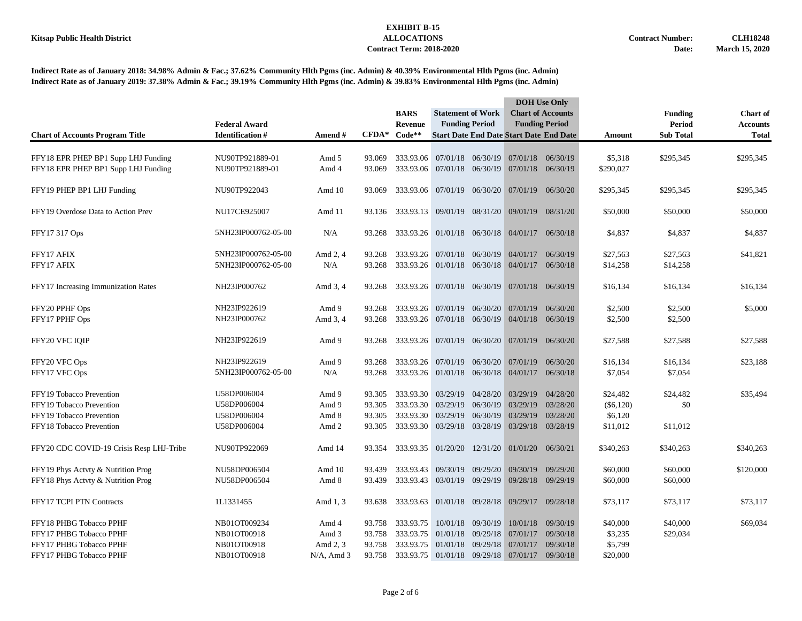|                                          |                         |               |                   | <b>BARS</b>                                   | <b>Statement of Work</b>                      |                       | <b>DOH</b> Use Only<br><b>Chart of Accounts</b> |                       |             | <b>Funding</b>   | <b>Chart of</b> |
|------------------------------------------|-------------------------|---------------|-------------------|-----------------------------------------------|-----------------------------------------------|-----------------------|-------------------------------------------------|-----------------------|-------------|------------------|-----------------|
|                                          | <b>Federal Award</b>    |               | $\mathbf{CFDA}^*$ | <b>Revenue</b>                                |                                               | <b>Funding Period</b> |                                                 | <b>Funding Period</b> |             | <b>Period</b>    | <b>Accounts</b> |
| <b>Chart of Accounts Program Title</b>   | <b>Identification</b> # | Amend#        |                   | Code**                                        |                                               |                       | <b>Start Date End Date Start Date End Date</b>  |                       | Amount      | <b>Sub Total</b> | <b>Total</b>    |
| FFY18 EPR PHEP BP1 Supp LHJ Funding      | NU90TP921889-01         | Amd 5         | 93.069            | 333.93.06                                     |                                               |                       | 07/01/18 06/30/19 07/01/18 06/30/19             |                       | \$5,318     | \$295,345        | \$295,345       |
| FFY18 EPR PHEP BP1 Supp LHJ Funding      | NU90TP921889-01         | Amd 4         | 93.069            |                                               | 333.93.06 07/01/18 06/30/19 07/01/18 06/30/19 |                       |                                                 |                       | \$290,027   |                  |                 |
| FFY19 PHEP BP1 LHJ Funding               | NU90TP922043            | Amd 10        | 93.069            |                                               | 333.93.06 07/01/19 06/30/20 07/01/19          |                       |                                                 | 06/30/20              | \$295,345   | \$295,345        | \$295,345       |
| FFY19 Overdose Data to Action Prev       | NU17CE925007            | Amd 11        |                   | 93.136 333.93.13 09/01/19 08/31/20 09/01/19   |                                               |                       |                                                 | 08/31/20              | \$50,000    | \$50,000         | \$50,000        |
| FFY17 317 Ops                            | 5NH23IP000762-05-00     | N/A           | 93.268            |                                               | 333.93.26 01/01/18 06/30/18 04/01/17 06/30/18 |                       |                                                 |                       | \$4,837     | \$4,837          | \$4,837         |
| FFY17 AFIX                               | 5NH23IP000762-05-00     | Amd 2, 4      | 93.268            |                                               | 333.93.26 07/01/18 06/30/19 04/01/17          |                       |                                                 | 06/30/19              | \$27,563    | \$27,563         | \$41,821        |
| FFY17 AFIX                               | 5NH23IP000762-05-00     | N/A           | 93.268            |                                               | 333.93.26 01/01/18 06/30/18 04/01/17 06/30/18 |                       |                                                 |                       | \$14,258    | \$14,258         |                 |
| FFY17 Increasing Immunization Rates      | NH23IP000762            | Amd 3, 4      | 93.268            |                                               | 333.93.26 07/01/18 06/30/19 07/01/18 06/30/19 |                       |                                                 |                       | \$16,134    | \$16,134         | \$16,134        |
| FFY20 PPHF Ops                           | NH23IP922619            | Amd 9         | 93.268            |                                               | 333.93.26 07/01/19 06/30/20 07/01/19          |                       |                                                 | 06/30/20              | \$2,500     | \$2,500          | \$5,000         |
| FFY17 PPHF Ops                           | NH23IP000762            | Amd 3, 4      | 93.268            |                                               | 333.93.26 07/01/18 06/30/19 04/01/18 06/30/19 |                       |                                                 |                       | \$2,500     | \$2,500          |                 |
| FFY20 VFC IQIP                           | NH23IP922619            | Amd 9         | 93.268            | 333.93.26 07/01/19 06/30/20 07/01/19 06/30/20 |                                               |                       |                                                 |                       | \$27,588    | \$27,588         | \$27,588        |
| FFY20 VFC Ops                            | NH23IP922619            | Amd 9         | 93.268            |                                               | 333.93.26 07/01/19 06/30/20 07/01/19 06/30/20 |                       |                                                 |                       | \$16,134    | \$16,134         | \$23,188        |
| FFY17 VFC Ops                            | 5NH23IP000762-05-00     | N/A           | 93.268            |                                               | 333.93.26 01/01/18 06/30/18 04/01/17 06/30/18 |                       |                                                 |                       | \$7,054     | \$7,054          |                 |
| FFY19 Tobacco Prevention                 | U58DP006004             | Amd 9         | 93.305            |                                               | 333.93.30 03/29/19 04/28/20 03/29/19          |                       |                                                 | 04/28/20              | \$24,482    | \$24,482         | \$35,494        |
| FFY19 Tobacco Prevention                 | U58DP006004             | Amd 9         | 93.305            | 333.93.30                                     | 03/29/19 06/30/19                             |                       | 03/29/19                                        | 03/28/20              | $(\$6,120)$ | \$0              |                 |
| FFY19 Tobacco Prevention                 | U58DP006004             | Amd 8         | 93.305            | 333.93.30                                     | 03/29/19                                      | 06/30/19              | 03/29/19                                        | 03/28/20              | \$6,120     |                  |                 |
| FFY18 Tobacco Prevention                 | U58DP006004             | Amd 2         | 93.305            | 333.93.30 03/29/18 03/28/19                   |                                               |                       | 03/29/18 03/28/19                               |                       | \$11,012    | \$11,012         |                 |
| FFY20 CDC COVID-19 Crisis Resp LHJ-Tribe | NU90TP922069            | Amd 14        | 93.354            | 333.93.35 01/20/20 12/31/20 01/01/20 06/30/21 |                                               |                       |                                                 |                       | \$340,263   | \$340,263        | \$340,263       |
| FFY19 Phys Actyty & Nutrition Prog       | NU58DP006504            | Amd 10        | 93.439            | 333.93.43                                     | 09/30/19                                      | 09/29/20              | 09/30/19                                        | 09/29/20              | \$60,000    | \$60,000         | \$120,000       |
| FFY18 Phys Actyty & Nutrition Prog       | NU58DP006504            | Amd 8         | 93.439            |                                               | 333.93.43 03/01/19 09/29/19 09/28/18 09/29/19 |                       |                                                 |                       | \$60,000    | \$60,000         |                 |
| FFY17 TCPI PTN Contracts                 | 1L1331455               | Amd 1, 3      | 93.638            |                                               | 333.93.63 01/01/18 09/28/18 09/29/17 09/28/18 |                       |                                                 |                       | \$73,117    | \$73,117         | \$73,117        |
| FFY18 PHBG Tobacco PPHF                  | NB01OT009234            | Amd 4         | 93.758            | 333.93.75                                     |                                               | 10/01/18 09/30/19     |                                                 | 10/01/18 09/30/19     | \$40,000    | \$40,000         | \$69,034        |
| FFY17 PHBG Tobacco PPHF                  | NB01OT00918             | Amd 3         | 93.758            |                                               | 333.93.75 01/01/18 09/29/18                   |                       | 07/01/17                                        | 09/30/18              | \$3,235     | \$29,034         |                 |
| FFY17 PHBG Tobacco PPHF                  | NB01OT00918             | Amd 2, 3      | 93.758            | 333.93.75                                     |                                               | 01/01/18 09/29/18     | 07/01/17                                        | 09/30/18              | \$5,799     |                  |                 |
| FFY17 PHBG Tobacco PPHF                  | NB01OT00918             | $N/A$ , Amd 3 | 93.758            |                                               | 333.93.75 01/01/18 09/29/18 07/01/17          |                       |                                                 | 09/30/18              | \$20,000    |                  |                 |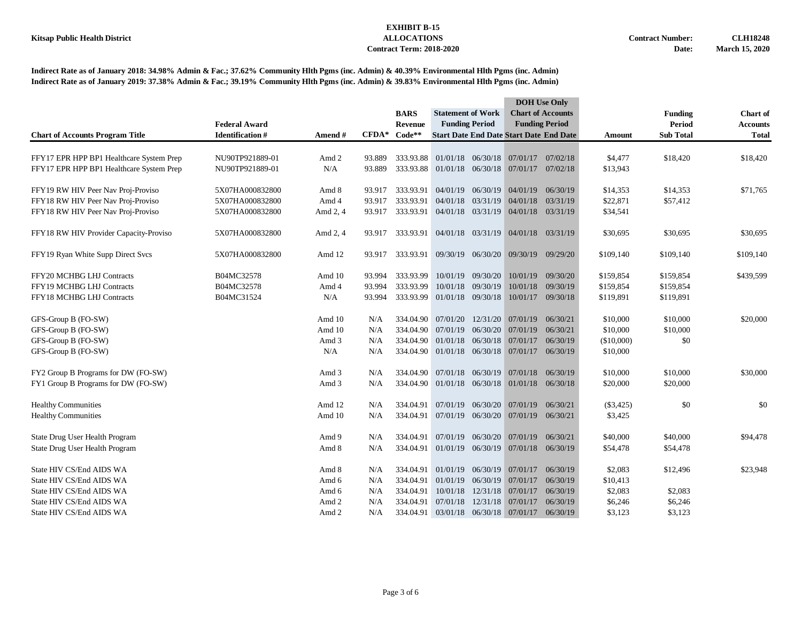|                                          |                        |          |         |             | <b>Statement of Work</b>                      |                       | <b>DOH</b> Use Only                 |                                                |             |                  |                 |
|------------------------------------------|------------------------|----------|---------|-------------|-----------------------------------------------|-----------------------|-------------------------------------|------------------------------------------------|-------------|------------------|-----------------|
|                                          |                        |          |         | <b>BARS</b> |                                               |                       |                                     | <b>Chart of Accounts</b>                       |             | <b>Funding</b>   | <b>Chart of</b> |
|                                          | <b>Federal Award</b>   |          |         | Revenue     |                                               | <b>Funding Period</b> |                                     | <b>Funding Period</b>                          |             | <b>Period</b>    | <b>Accounts</b> |
| <b>Chart of Accounts Program Title</b>   | <b>Identification#</b> | Amend#   | $CFDA*$ | Code**      |                                               |                       |                                     | <b>Start Date End Date Start Date End Date</b> | Amount      | <b>Sub Total</b> | <b>Total</b>    |
|                                          |                        |          |         |             |                                               |                       |                                     |                                                |             |                  |                 |
| FFY17 EPR HPP BP1 Healthcare System Prep | NU90TP921889-01        | Amd 2    | 93.889  |             | 333.93.88 01/01/18 06/30/18 07/01/17 07/02/18 |                       |                                     |                                                | \$4,477     | \$18,420         | \$18,420        |
| FFY17 EPR HPP BP1 Healthcare System Prep | NU90TP921889-01        | N/A      | 93.889  |             | 333.93.88 01/01/18 06/30/18 07/01/17 07/02/18 |                       |                                     |                                                | \$13,943    |                  |                 |
| FFY19 RW HIV Peer Nav Proj-Proviso       | 5X07HA000832800        | Amd 8    | 93.917  | 333.93.91   | 04/01/19                                      | 06/30/19              | 04/01/19                            | 06/30/19                                       | \$14,353    | \$14,353         | \$71,765        |
| FFY18 RW HIV Peer Nav Proj-Proviso       | 5X07HA000832800        | Amd 4    | 93.917  | 333.93.91   | 04/01/18                                      | 03/31/19              | 04/01/18                            | 03/31/19                                       | \$22,871    | \$57,412         |                 |
| FFY18 RW HIV Peer Nav Proj-Proviso       | 5X07HA000832800        | Amd 2, 4 | 93.917  | 333.93.91   |                                               |                       | 04/01/18 03/31/19 04/01/18 03/31/19 |                                                | \$34,541    |                  |                 |
| FFY18 RW HIV Provider Capacity-Proviso   | 5X07HA000832800        | Amd 2, 4 | 93.917  |             | 333.93.91 04/01/18 03/31/19 04/01/18 03/31/19 |                       |                                     |                                                | \$30,695    | \$30,695         | \$30,695        |
|                                          |                        |          |         |             |                                               |                       |                                     |                                                |             |                  |                 |
| FFY19 Ryan White Supp Direct Svcs        | 5X07HA000832800        | Amd 12   | 93.917  |             | 333.93.91 09/30/19 06/30/20 09/30/19          |                       |                                     | 09/29/20                                       | \$109,140   | \$109,140        | \$109,140       |
| FFY20 MCHBG LHJ Contracts                | B04MC32578             | Amd 10   | 93.994  | 333.93.99   |                                               | 10/01/19 09/30/20     |                                     | 10/01/19 09/30/20                              | \$159,854   | \$159,854        | \$439,599       |
| FFY19 MCHBG LHJ Contracts                | B04MC32578             | Amd 4    | 93.994  | 333.93.99   |                                               | 10/01/18 09/30/19     | 10/01/18                            | 09/30/19                                       | \$159,854   | \$159,854        |                 |
| FFY18 MCHBG LHJ Contracts                | B04MC31524             | N/A      | 93.994  |             | 333.93.99 01/01/18 09/30/18 10/01/17 09/30/18 |                       |                                     |                                                | \$119,891   | \$119,891        |                 |
| GFS-Group B (FO-SW)                      |                        | Amd 10   | N/A     |             | 334.04.90 07/01/20                            |                       | 12/31/20 07/01/19                   | 06/30/21                                       | \$10,000    | \$10,000         | \$20,000        |
| GFS-Group B (FO-SW)                      |                        | Amd 10   | N/A     | 334.04.90   | 07/01/19 06/30/20                             |                       | 07/01/19                            | 06/30/21                                       | \$10,000    | \$10,000         |                 |
| GFS-Group B (FO-SW)                      |                        | Amd 3    | N/A     | 334.04.90   |                                               | 01/01/18 06/30/18     | 07/01/17                            | 06/30/19                                       | (\$10,000)  | \$0              |                 |
| GFS-Group B (FO-SW)                      |                        | N/A      | N/A     |             | 334.04.90 01/01/18 06/30/18 07/01/17 06/30/19 |                       |                                     |                                                | \$10,000    |                  |                 |
| FY2 Group B Programs for DW (FO-SW)      |                        | Amd 3    | N/A     |             | 334.04.90 07/01/18                            | 06/30/19              | 07/01/18                            | 06/30/19                                       | \$10,000    | \$10,000         | \$30,000        |
| FY1 Group B Programs for DW (FO-SW)      |                        | Amd 3    | N/A     |             | 334.04.90 01/01/18 06/30/18 01/01/18 06/30/18 |                       |                                     |                                                | \$20,000    | \$20,000         |                 |
|                                          |                        | Amd 12   |         | 334.04.91   | 07/01/19                                      | 06/30/20              | 07/01/19                            | 06/30/21                                       |             |                  | \$0             |
| <b>Healthy Communities</b>               |                        |          | N/A     |             |                                               |                       |                                     |                                                | $(\$3,425)$ | \$0              |                 |
| <b>Healthy Communities</b>               |                        | Amd 10   | N/A     | 334.04.91   |                                               |                       | 07/01/19 06/30/20 07/01/19 06/30/21 |                                                | \$3,425     |                  |                 |
| State Drug User Health Program           |                        | Amd 9    | N/A     | 334.04.91   | 07/01/19                                      | 06/30/20              | 07/01/19                            | 06/30/21                                       | \$40,000    | \$40,000         | \$94,478        |
| State Drug User Health Program           |                        | Amd 8    | N/A     | 334.04.91   |                                               |                       | 01/01/19 06/30/19 07/01/18 06/30/19 |                                                | \$54,478    | \$54,478         |                 |
| State HIV CS/End AIDS WA                 |                        | Amd 8    | N/A     | 334.04.91   | 01/01/19                                      | 06/30/19              | 07/01/17                            | 06/30/19                                       | \$2,083     | \$12,496         | \$23,948        |
| State HIV CS/End AIDS WA                 |                        | Amd 6    | N/A     | 334.04.91   | 01/01/19                                      | 06/30/19              | 07/01/17                            | 06/30/19                                       | \$10,413    |                  |                 |
| State HIV CS/End AIDS WA                 |                        | Amd 6    | N/A     | 334.04.91   | 10/01/18                                      | 12/31/18              | 07/01/17                            | 06/30/19                                       | \$2,083     | \$2,083          |                 |
| State HIV CS/End AIDS WA                 |                        | Amd 2    | N/A     | 334.04.91   | 07/01/18                                      | 12/31/18              | 07/01/17                            | 06/30/19                                       | \$6,246     | \$6,246          |                 |
| State HIV CS/End AIDS WA                 |                        | Amd 2    | N/A     |             | 334.04.91 03/01/18 06/30/18 07/01/17          |                       |                                     | 06/30/19                                       | \$3,123     | \$3,123          |                 |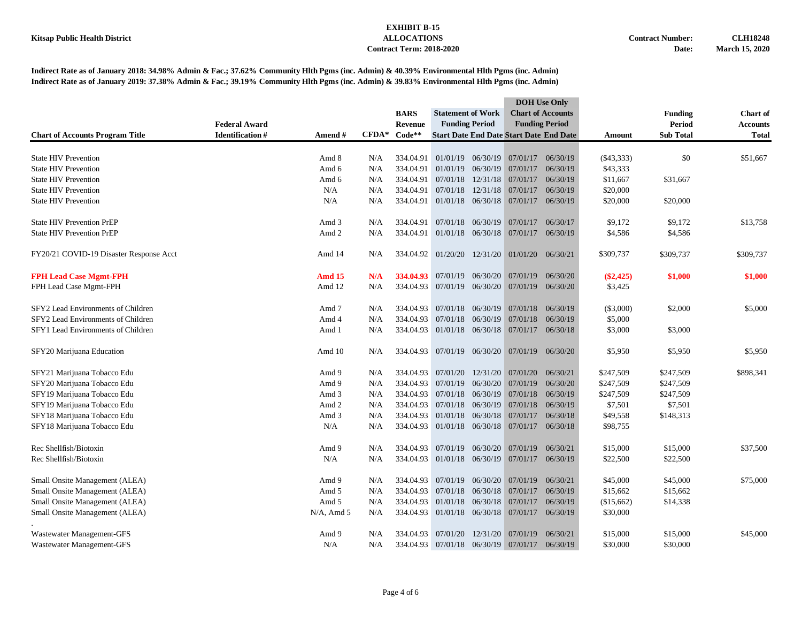|                                         |                      |               |                   |                |                                                   |                            |                                                | <b>DOH</b> Use Only      |              |                  |                 |
|-----------------------------------------|----------------------|---------------|-------------------|----------------|---------------------------------------------------|----------------------------|------------------------------------------------|--------------------------|--------------|------------------|-----------------|
|                                         |                      |               |                   | <b>BARS</b>    | <b>Statement of Work</b><br><b>Funding Period</b> |                            |                                                | <b>Chart of Accounts</b> |              | <b>Funding</b>   | <b>Chart of</b> |
|                                         | <b>Federal Award</b> |               |                   | <b>Revenue</b> |                                                   |                            |                                                | <b>Funding Period</b>    |              | <b>Period</b>    | <b>Accounts</b> |
| <b>Chart of Accounts Program Title</b>  | Identification $\#$  | Amend#        | $\mathbf{CFDA}^*$ | $Code**$       |                                                   |                            | <b>Start Date End Date Start Date End Date</b> |                          | Amount       | <b>Sub Total</b> | <b>Total</b>    |
|                                         |                      |               |                   |                |                                                   |                            |                                                |                          |              |                  |                 |
| <b>State HIV Prevention</b>             |                      | Amd 8         | N/A               | 334.04.91      |                                                   |                            | $01/01/19$ $06/30/19$ $07/01/17$               | 06/30/19                 | $(\$43,333)$ | \$0              | \$51,667        |
| <b>State HIV Prevention</b>             |                      | Amd 6         | N/A               | 334.04.91      |                                                   |                            | 01/01/19 06/30/19 07/01/17                     | 06/30/19                 | \$43,333     |                  |                 |
| <b>State HIV Prevention</b>             |                      | Amd 6         | N/A               | 334.04.91      |                                                   |                            | $07/01/18$ $12/31/18$ $07/01/17$               | 06/30/19                 | \$11,667     | \$31,667         |                 |
| <b>State HIV Prevention</b>             |                      | N/A           | N/A               | 334.04.91      |                                                   | 07/01/18 12/31/18          | 07/01/17                                       | 06/30/19                 | \$20,000     |                  |                 |
| <b>State HIV Prevention</b>             |                      | N/A           | N/A               | 334.04.91      |                                                   | 01/01/18 06/30/18          | 07/01/17                                       | 06/30/19                 | \$20,000     | \$20,000         |                 |
| <b>State HIV Prevention PrEP</b>        |                      | Amd 3         | N/A               | 334.04.91      |                                                   | 07/01/18 06/30/19          | 07/01/17                                       | 06/30/17                 | \$9,172      | \$9,172          | \$13,758        |
| <b>State HIV Prevention PrEP</b>        |                      | Amd 2         | N/A               | 334.04.91      |                                                   |                            | 01/01/18 06/30/18 07/01/17                     | 06/30/19                 | \$4,586      | \$4,586          |                 |
| FY20/21 COVID-19 Disaster Response Acct |                      | Amd 14        | N/A               |                |                                                   |                            | 334.04.92 01/20/20 12/31/20 01/01/20 06/30/21  |                          | \$309,737    | \$309,737        | \$309,737       |
| <b>FPH Lead Case Mgmt-FPH</b>           |                      | <b>Amd 15</b> | N/A               | 334,04.93      |                                                   |                            | 07/01/19 06/30/20 07/01/19                     | 06/30/20                 | $(\$2,425)$  | \$1,000          | \$1,000         |
| FPH Lead Case Mgmt-FPH                  |                      | Amd 12        | N/A               | 334.04.93      |                                                   |                            | 07/01/19 06/30/20 07/01/19 06/30/20            |                          | \$3,425      |                  |                 |
| SFY2 Lead Environments of Children      |                      | Amd 7         | N/A               | 334.04.93      |                                                   |                            | $07/01/18$ $06/30/19$ $07/01/18$               | 06/30/19                 | (\$3,000)    | \$2,000          | \$5,000         |
| SFY2 Lead Environments of Children      |                      | Amd 4         | N/A               | 334.04.93      |                                                   | 07/01/18 06/30/19          | 07/01/18                                       | 06/30/19                 |              |                  |                 |
|                                         |                      |               |                   |                |                                                   |                            |                                                |                          | \$5,000      |                  |                 |
| SFY1 Lead Environments of Children      |                      | Amd 1         | N/A               |                |                                                   |                            | 334.04.93 01/01/18 06/30/18 07/01/17 06/30/18  |                          | \$3,000      | \$3,000          |                 |
| SFY20 Marijuana Education               |                      | Amd 10        | N/A               |                |                                                   |                            | 334.04.93 07/01/19 06/30/20 07/01/19           | 06/30/20                 | \$5,950      | \$5,950          | \$5,950         |
| SFY21 Marijuana Tobacco Edu             |                      | Amd 9         | N/A               | 334.04.93      |                                                   |                            | 07/01/20 12/31/20 07/01/20                     | 06/30/21                 | \$247,509    | \$247,509        | \$898,341       |
| SFY20 Marijuana Tobacco Edu             |                      | Amd 9         | N/A               | 334.04.93      |                                                   | 07/01/19 06/30/20          | 07/01/19                                       | 06/30/20                 | \$247,509    | \$247,509        |                 |
| SFY19 Marijuana Tobacco Edu             |                      | Amd 3         | N/A               | 334.04.93      |                                                   | 07/01/18 06/30/19          | 07/01/18                                       | 06/30/19                 | \$247,509    | \$247,509        |                 |
| SFY19 Marijuana Tobacco Edu             |                      | Amd 2         | N/A               | 334.04.93      |                                                   |                            | 07/01/18 06/30/19 07/01/18                     | 06/30/19                 | \$7,501      | \$7,501          |                 |
| SFY18 Marijuana Tobacco Edu             |                      | Amd 3         | N/A               | 334.04.93      |                                                   |                            | 01/01/18 06/30/18 07/01/17                     | 06/30/18                 | \$49,558     | \$148,313        |                 |
| SFY18 Marijuana Tobacco Edu             |                      | N/A           | N/A               | 334.04.93      |                                                   |                            | 01/01/18 06/30/18 07/01/17                     | 06/30/18                 | \$98,755     |                  |                 |
| Rec Shellfish/Biotoxin                  |                      | Amd 9         | N/A               | 334.04.93      | 07/01/19                                          |                            | 06/30/20 07/01/19                              | 06/30/21                 | \$15,000     | \$15,000         | \$37,500        |
| Rec Shellfish/Biotoxin                  |                      | N/A           | N/A               | 334.04.93      |                                                   |                            | 01/01/18 06/30/19 07/01/17 06/30/19            |                          | \$22,500     | \$22,500         |                 |
|                                         |                      |               |                   |                |                                                   |                            |                                                |                          |              | \$45,000         |                 |
| Small Onsite Management (ALEA)          |                      | Amd 9         | N/A               | 334.04.93      |                                                   |                            | 07/01/19 06/30/20 07/01/19                     | 06/30/21                 | \$45,000     |                  | \$75,000        |
| Small Onsite Management (ALEA)          |                      | Amd 5         | N/A               | 334.04.93      |                                                   |                            | $07/01/18$ $06/30/18$ $07/01/17$               | 06/30/19                 | \$15,662     | \$15,662         |                 |
| Small Onsite Management (ALEA)          |                      | Amd 5         | N/A               | 334.04.93      |                                                   | 01/01/18 06/30/18 07/01/17 |                                                | 06/30/19                 | (\$15,662)   | \$14,338         |                 |
| Small Onsite Management (ALEA)          |                      | $N/A$ , Amd 5 | N/A               |                |                                                   |                            | 334.04.93 01/01/18 06/30/18 07/01/17           | 06/30/19                 | \$30,000     |                  |                 |
| Wastewater Management-GFS               |                      | Amd 9         | N/A               | 334.04.93      | 07/01/20                                          | 12/31/20                   | 07/01/19                                       | 06/30/21                 | \$15,000     | \$15,000         | \$45,000        |
| Wastewater Management-GFS               |                      | N/A           | N/A               |                |                                                   |                            | 334.04.93 07/01/18 06/30/19 07/01/17           | 06/30/19                 | \$30,000     | \$30,000         |                 |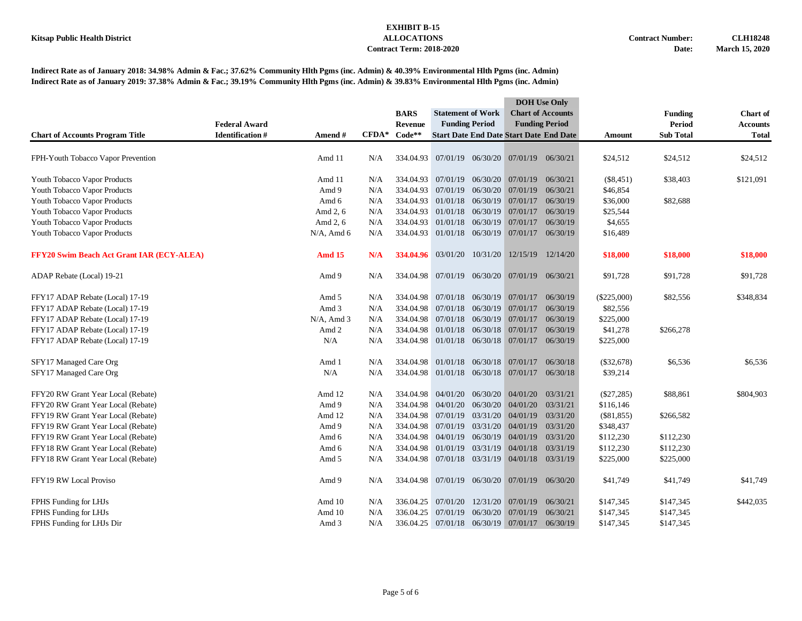|                                                  |                        |               |         |                |                                      |          | <b>DOH</b> Use Only                            |                          |               |                  |                 |
|--------------------------------------------------|------------------------|---------------|---------|----------------|--------------------------------------|----------|------------------------------------------------|--------------------------|---------------|------------------|-----------------|
|                                                  |                        |               |         | <b>BARS</b>    | <b>Statement of Work</b>             |          |                                                | <b>Chart of Accounts</b> |               | <b>Funding</b>   | <b>Chart</b> of |
|                                                  | <b>Federal Award</b>   |               |         | <b>Revenue</b> | <b>Funding Period</b>                |          |                                                | <b>Funding Period</b>    |               | <b>Period</b>    | <b>Accounts</b> |
| <b>Chart of Accounts Program Title</b>           | <b>Identification#</b> | Amend#        | $CFDA*$ | $Code**$       |                                      |          | <b>Start Date End Date Start Date End Date</b> |                          | Amount        | <b>Sub Total</b> | <b>Total</b>    |
| FPH-Youth Tobacco Vapor Prevention               |                        | Amd 11        | N/A     |                |                                      |          | 334.04.93 07/01/19 06/30/20 07/01/19 06/30/21  |                          | \$24,512      | \$24,512         | \$24,512        |
|                                                  |                        |               |         |                |                                      |          |                                                |                          |               |                  |                 |
| Youth Tobacco Vapor Products                     |                        | Amd 11        | N/A     | 334.04.93      | 07/01/19 06/30/20                    |          | 07/01/19                                       | 06/30/21                 | $(\$8,451)$   | \$38,403         | \$121,091       |
| Youth Tobacco Vapor Products                     |                        | Amd 9         | N/A     | 334.04.93      | 07/01/19                             | 06/30/20 | 07/01/19                                       | 06/30/21                 | \$46,854      |                  |                 |
| Youth Tobacco Vapor Products                     |                        | Amd 6         | N/A     | 334.04.93      | 01/01/18 06/30/19 07/01/17           |          |                                                | 06/30/19                 | \$36,000      | \$82,688         |                 |
| Youth Tobacco Vapor Products                     |                        | Amd 2, 6      | N/A     | 334.04.93      | 01/01/18 06/30/19 07/01/17           |          |                                                | 06/30/19                 | \$25,544      |                  |                 |
| Youth Tobacco Vapor Products                     |                        | Amd 2, 6      | N/A     | 334.04.93      | 01/01/18                             | 06/30/19 | 07/01/17                                       | 06/30/19                 | \$4,655       |                  |                 |
| Youth Tobacco Vapor Products                     |                        | $N/A$ , Amd 6 | N/A     |                |                                      |          | 334.04.93 01/01/18 06/30/19 07/01/17 06/30/19  |                          | \$16,489      |                  |                 |
| <b>FFY20 Swim Beach Act Grant IAR (ECY-ALEA)</b> |                        | <b>Amd 15</b> | N/A     |                | 334.04.96 03/01/20 10/31/20          |          | 12/15/19 12/14/20                              |                          | \$18,000      | \$18,000         | \$18,000        |
| ADAP Rebate (Local) 19-21                        |                        | Amd 9         | N/A     |                |                                      |          | 334.04.98 07/01/19 06/30/20 07/01/19 06/30/21  |                          | \$91,728      | \$91,728         | \$91,728        |
| FFY17 ADAP Rebate (Local) 17-19                  |                        | Amd 5         | N/A     |                |                                      |          | 334.04.98 07/01/18 06/30/19 07/01/17           | 06/30/19                 | $(\$225,000)$ | \$82,556         | \$348,834       |
| FFY17 ADAP Rebate (Local) 17-19                  |                        | Amd 3         | N/A     | 334.04.98      | 07/01/18                             | 06/30/19 | 07/01/17                                       | 06/30/19                 | \$82,556      |                  |                 |
| FFY17 ADAP Rebate (Local) 17-19                  |                        | $N/A$ , Amd 3 | N/A     | 334.04.98      | 07/01/18 06/30/19                    |          | 07/01/17                                       | 06/30/19                 | \$225,000     |                  |                 |
| FFY17 ADAP Rebate (Local) 17-19                  |                        | Amd 2         | N/A     | 334.04.98      | 01/01/18 06/30/18 07/01/17           |          |                                                | 06/30/19                 | \$41,278      | \$266,278        |                 |
| FFY17 ADAP Rebate (Local) 17-19                  |                        | N/A           | N/A     |                | 334.04.98 01/01/18 06/30/18 07/01/17 |          |                                                | 06/30/19                 | \$225,000     |                  |                 |
| SFY17 Managed Care Org                           |                        | Amd 1         | N/A     |                |                                      |          | 334.04.98 01/01/18 06/30/18 07/01/17 06/30/18  |                          | $(\$32,678)$  | \$6,536          | \$6,536         |
| SFY17 Managed Care Org                           |                        | N/A           | N/A     |                |                                      |          | 334.04.98 01/01/18 06/30/18 07/01/17 06/30/18  |                          | \$39,214      |                  |                 |
| FFY20 RW Grant Year Local (Rebate)               |                        | Amd 12        | N/A     |                | 334.04.98 04/01/20                   |          | 06/30/20 04/01/20                              | 03/31/21                 | $(\$27,285)$  | \$88,861         | \$804,903       |
| FFY20 RW Grant Year Local (Rebate)               |                        | Amd 9         | N/A     | 334.04.98      | 04/01/20                             |          | 06/30/20 04/01/20                              | 03/31/21                 | \$116,146     |                  |                 |
| FFY19 RW Grant Year Local (Rebate)               |                        | Amd 12        | N/A     | 334.04.98      | 07/01/19                             |          | 03/31/20 04/01/19                              | 03/31/20                 | (\$81,855)    | \$266,582        |                 |
| FFY19 RW Grant Year Local (Rebate)               |                        | Amd 9         | N/A     | 334.04.98      | 07/01/19                             | 03/31/20 | 04/01/19                                       | 03/31/20                 | \$348,437     |                  |                 |
| FFY19 RW Grant Year Local (Rebate)               |                        | Amd 6         | N/A     | 334.04.98      | 04/01/19                             |          | 06/30/19 04/01/19                              | 03/31/20                 | \$112,230     | \$112,230        |                 |
| FFY18 RW Grant Year Local (Rebate)               |                        | Amd 6         | N/A     | 334.04.98      | 01/01/19                             |          | 03/31/19 04/01/18                              | 03/31/19                 | \$112,230     | \$112,230        |                 |
| FFY18 RW Grant Year Local (Rebate)               |                        | Amd 5         | N/A     |                |                                      |          | 334.04.98 07/01/18 03/31/19 04/01/18 03/31/19  |                          | \$225,000     | \$225,000        |                 |
| FFY19 RW Local Proviso                           |                        | Amd 9         | N/A     |                | 334.04.98 07/01/19 06/30/20          |          | 07/01/19                                       | 06/30/20                 | \$41,749      | \$41,749         | \$41,749        |
| FPHS Funding for LHJs                            |                        | Amd 10        | N/A     | 336.04.25      | 07/01/20                             | 12/31/20 | 07/01/19                                       | 06/30/21                 | \$147,345     | \$147,345        | \$442,035       |
| FPHS Funding for LHJs                            |                        | Amd 10        | N/A     | 336.04.25      | 07/01/19                             | 06/30/20 | 07/01/19                                       | 06/30/21                 | \$147,345     | \$147,345        |                 |
| FPHS Funding for LHJs Dir                        |                        | Amd 3         | N/A     |                |                                      |          | 336.04.25 07/01/18 06/30/19 07/01/17 06/30/19  |                          | \$147,345     | \$147,345        |                 |